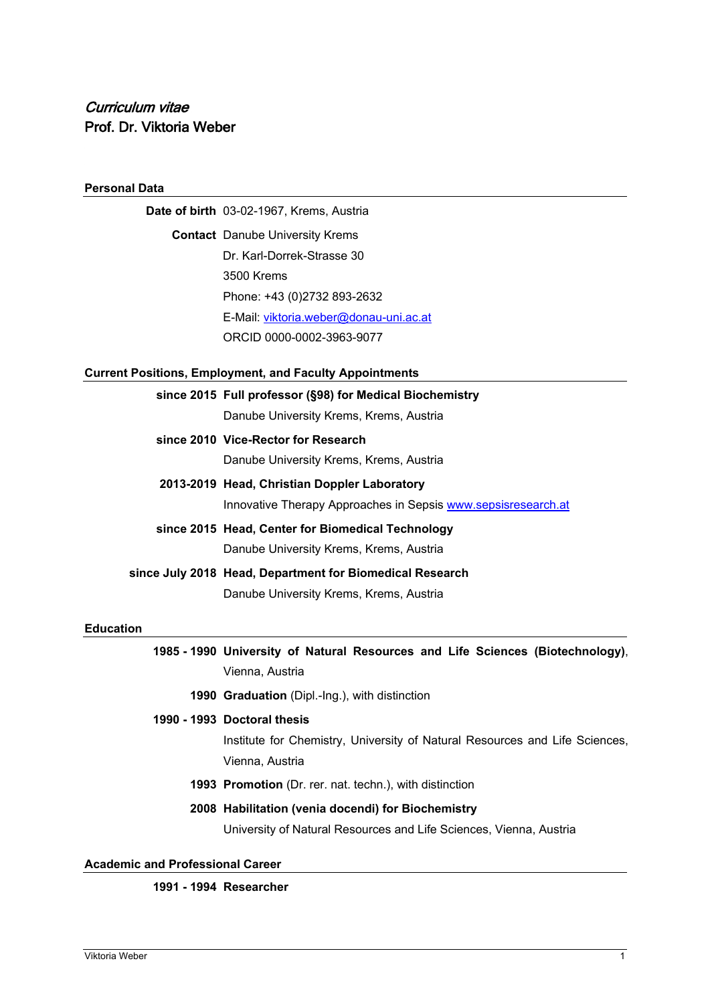## **Personal Data**

**Date of birth** 03-02-1967, Krems, Austria **Contact** Danube University Krems Dr. Karl-Dorrek-Strasse 30 3500 Krems Phone: +43 (0)2732 893-2632 E-Mail: [viktoria.weber@donau-uni.ac.at](mailto:viktoria.weber@donau-uni.ac.at) ORCID 0000-0002-3963-9077

# **Current Positions, Employment, and Faculty Appointments**

|          | since 2015 Full professor (§98) for Medical Biochemistry<br>Danube University Krems, Krems, Austria           |
|----------|---------------------------------------------------------------------------------------------------------------|
|          | since 2010 Vice-Rector for Research<br>Danube University Krems, Krems, Austria                                |
|          | 2013-2019 Head, Christian Doppler Laboratory<br>Innovative Therapy Approaches in Sepsis www.sepsisresearch.at |
|          | since 2015 Head, Center for Biomedical Technology<br>Danube University Krems, Krems, Austria                  |
|          | since July 2018 Head, Department for Biomedical Research<br>Danube University Krems, Krems, Austria           |
| lucation | .                                                                                                             |

#### **Ed**

**1985 - 1990 University of Natural Resources and Life Sciences (Biotechnology)**, Vienna, Austria

**1990 Graduation** (Dipl.-Ing.), with distinction

### **1990 - 1993 Doctoral thesis**

Institute for Chemistry, University of Natural Resources and Life Sciences, Vienna, Austria

**1993 Promotion** (Dr. rer. nat. techn.), with distinction

# **2008 Habilitation (venia docendi) for Biochemistry**

University of Natural Resources and Life Sciences, Vienna, Austria

**Academic and Professional Career**

## **1991 - 1994 Researcher**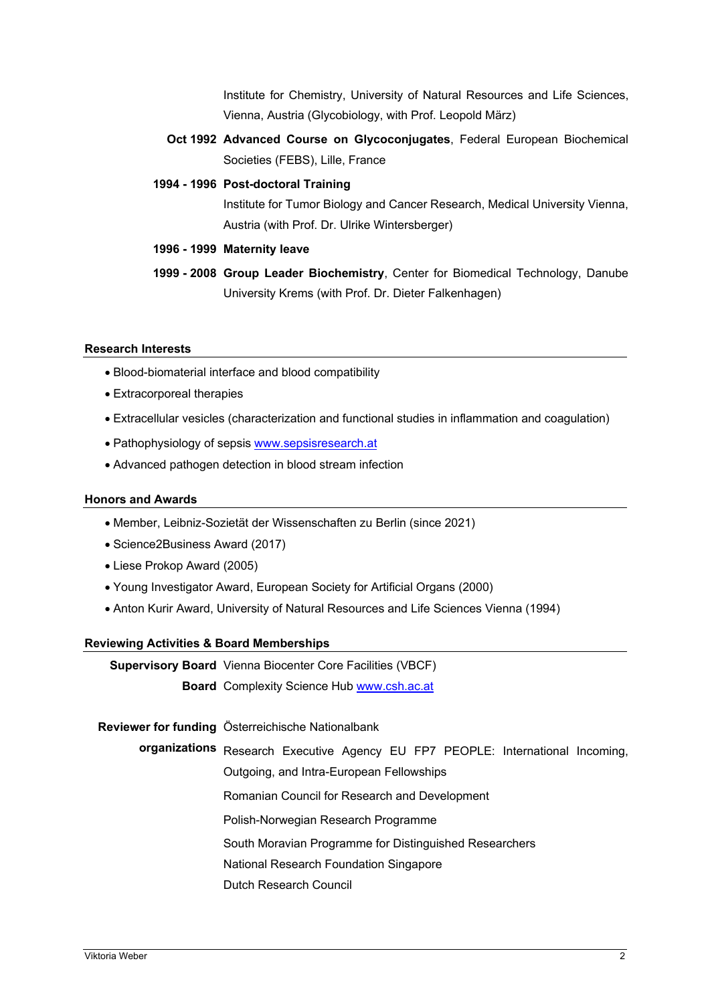Institute for Chemistry, University of Natural Resources and Life Sciences, Vienna, Austria (Glycobiology, with Prof. Leopold März)

- **Oct 1992 Advanced Course on Glycoconjugates**, Federal European Biochemical Societies (FEBS), Lille, France
- **1994 - 1996 Post-doctoral Training**

Institute for Tumor Biology and Cancer Research, Medical University Vienna, Austria (with Prof. Dr. Ulrike Wintersberger)

- **1996 - 1999 Maternity leave**
- **1999 - 2008 Group Leader Biochemistry**, Center for Biomedical Technology, Danube University Krems (with Prof. Dr. Dieter Falkenhagen)

### **Research Interests**

- Blood-biomaterial interface and blood compatibility
- Extracorporeal therapies
- Extracellular vesicles (characterization and functional studies in inflammation and coagulation)
- Pathophysiology of sepsis [www.sepsisresearch.at](http://www.sepsisresearch.at/)
- Advanced pathogen detection in blood stream infection

### **Honors and Awards**

- Member, Leibniz-Sozietät der Wissenschaften zu Berlin (since 2021)
- Science2Business Award (2017)
- Liese Prokop Award (2005)
- Young Investigator Award, European Society for Artificial Organs (2000)
- Anton Kurir Award, University of Natural Resources and Life Sciences Vienna (1994)

### **Reviewing Activities & Board Memberships**

**Supervisory Board**  Vienna Biocenter Core Facilities (VBCF)

**Board**  Complexity Science Hub [www.csh.ac.at](http://www.csh.ac.at/)

**Reviewer for funding**  Österreichische Nationalbank

**organizations** Research Executive Agency EU FP7 PEOPLE: International Incoming,

Outgoing, and Intra-European Fellowships

Romanian Council for Research and Development

Polish-Norwegian Research Programme

South Moravian Programme for Distinguished Researchers

National Research Foundation Singapore

Dutch Research Council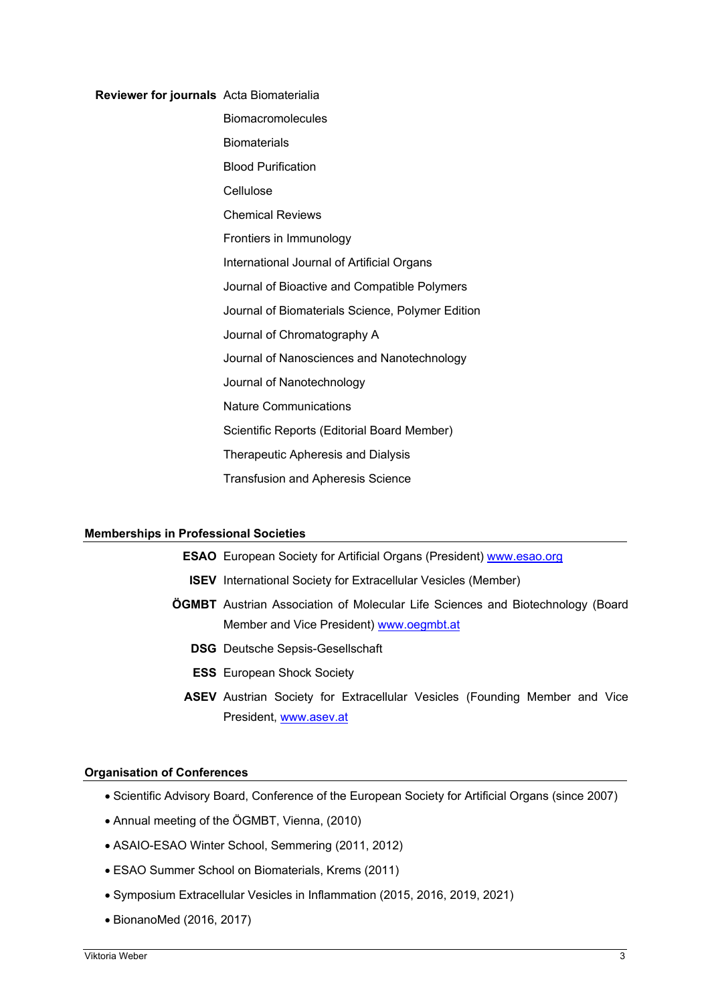#### **Reviewer for journals** Acta Biomaterialia

Biomacromolecules **Biomaterials** Blood Purification Cellulose Chemical Reviews Frontiers in Immunology International Journal of Artificial Organs Journal of Bioactive and Compatible Polymers Journal of Biomaterials Science, Polymer Edition Journal of Chromatography A Journal of Nanosciences and Nanotechnology Journal of Nanotechnology Nature Communications Scientific Reports (Editorial Board Member) Therapeutic Apheresis and Dialysis Transfusion and Apheresis Science

#### **Memberships in Professional Societies**

#### **ESAO** European Society for Artificial Organs (President) [www.esao.org](http://www.esao.org/)

- **ISEV** International Society for Extracellular Vesicles (Member)
- **ÖGMBT** Austrian Association of Molecular Life Sciences and Biotechnology (Board Member and Vice President) [www.oegmbt.at](http://www.oegmbt.at/)
	- **DSG** Deutsche Sepsis-Gesellschaft
	- **ESS** European Shock Society
	- **ASEV** Austrian Society for Extracellular Vesicles (Founding Member and Vice President, [www.asev.at](http://www.asev.at/)

#### **Organisation of Conferences**

- Scientific Advisory Board, Conference of the European Society for Artificial Organs (since 2007)
- Annual meeting of the ÖGMBT, Vienna, (2010)
- ASAIO-ESAO Winter School, Semmering (2011, 2012)
- ESAO Summer School on Biomaterials, Krems (2011)
- Symposium Extracellular Vesicles in Inflammation (2015, 2016, 2019, 2021)
- BionanoMed (2016, 2017)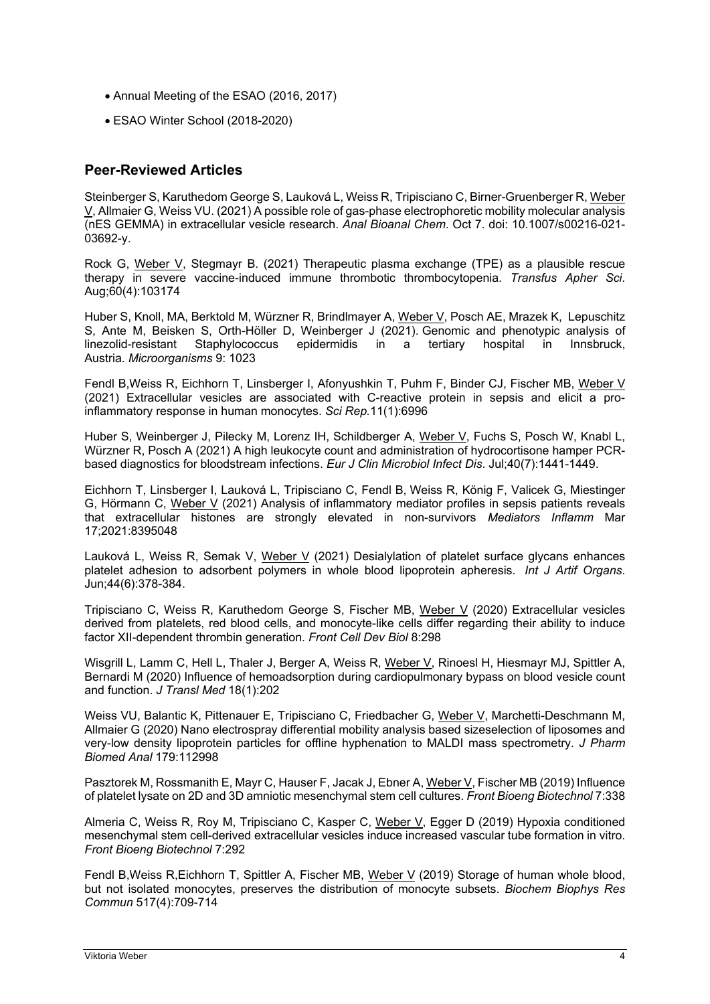- Annual Meeting of the ESAO (2016, 2017)
- ESAO Winter School (2018-2020)

# **Peer-Reviewed Articles**

Steinberger S, Karuthedom George S, Lauková L, Weiss R, Tripisciano C, Birner-Gruenberger R, Weber V, Allmaier G, Weiss VU. (2021) A possible role of gas-phase electrophoretic mobility molecular analysis (nES GEMMA) in extracellular vesicle research. *Anal Bioanal Chem*. Oct 7. doi: 10.1007/s00216-021- 03692-y.

Rock G, Weber V, Stegmayr B. (2021) Therapeutic plasma exchange (TPE) as a plausible rescue therapy in severe vaccine-induced immune thrombotic thrombocytopenia. *Transfus Apher Sci*. Aug;60(4):103174

Huber S, Knoll, MA, Berktold M, Würzner R, Brindlmayer A, Weber V, Posch AE, Mrazek K, Lepuschitz S, Ante M, Beisken S, Orth-Höller D, Weinberger J (2021). [Genomic and phenotypic analysis of](https://www.mdpi.com/2076-2607/9/5/1023)  [linezolid-resistant Staphylococcus epidermidis in a tertiary hospital in Innsbruck,](https://www.mdpi.com/2076-2607/9/5/1023)  [Austria.](https://www.mdpi.com/2076-2607/9/5/1023) *Microorganisms* 9: 1023

Fendl B,Weiss R, Eichhorn T, Linsberger I, Afonyushkin T, Puhm F, Binder CJ, Fischer MB, Weber V (2021) Extracellular vesicles are associated with C-reactive protein in sepsis and elicit a proinflammatory response in human monocytes. *Sci Rep.*11(1):6996

Huber S, Weinberger J, Pilecky M, Lorenz IH, Schildberger A, Weber V, Fuchs S, Posch W, Knabl L, Würzner R, Posch A (2021) A high leukocyte count and administration of hydrocortisone hamper PCRbased diagnostics for bloodstream infections. *Eur J Clin Microbiol Infect Dis*. Jul;40(7):1441-1449.

Eichhorn T, Linsberger I, Lauková L, Tripisciano C, Fendl B, Weiss R, König F, Valicek G, Miestinger G, Hörmann C, Weber V (2021) Analysis of inflammatory mediator profiles in sepsis patients reveals that extracellular histones are strongly elevated in non-survivors *Mediators Inflamm* Mar 17;2021:8395048

Lauková L, Weiss R, Semak V, Weber V (2021) Desialylation of platelet surface glycans enhances platelet adhesion to adsorbent polymers in whole blood lipoprotein apheresis. *Int J Artif Organs*. Jun;44(6):378-384.

Tripisciano C, Weiss R, Karuthedom George S, Fischer MB, Weber V (2020) Extracellular vesicles derived from platelets, red blood cells, and monocyte-like cells differ regarding their ability to induce factor XII-dependent thrombin generation. *Front Cell Dev Biol* 8:298

Wisgrill L, Lamm C, Hell L, Thaler J, Berger A, Weiss R, Weber V, Rinoesl H, Hiesmayr MJ, Spittler A, Bernardi M (2020) Influence of hemoadsorption during cardiopulmonary bypass on blood vesicle count and function. *J Transl Med* 18(1):202

Weiss VU, Balantic K, Pittenauer E, Tripisciano C, Friedbacher G, Weber V, Marchetti-Deschmann M, Allmaier G (2020) Nano electrospray differential mobility analysis based sizeselection of liposomes and very-low density lipoprotein particles for offline hyphenation to MALDI mass spectrometry. *J Pharm Biomed Anal* 179:112998

Pasztorek M, Rossmanith E, Mayr C, Hauser F, Jacak J, Ebner A, Weber V, Fischer MB (2019) Influence of platelet lysate on 2D and 3D amniotic mesenchymal stem cell cultures. *Front Bioeng Biotechnol* 7:338

Almeria C, Weiss R, Roy M, Tripisciano C, Kasper C, Weber V, Egger D (2019) Hypoxia conditioned mesenchymal stem cell-derived extracellular vesicles induce increased vascular tube formation in vitro. *Front Bioeng Biotechnol* 7:292

Fendl B, Weiss R, Eichhorn T, Spittler A, Fischer MB, Weber V (2019) Storage of human whole blood, but not isolated monocytes, preserves the distribution of monocyte subsets. *Biochem Biophys Res Commun* 517(4):709-714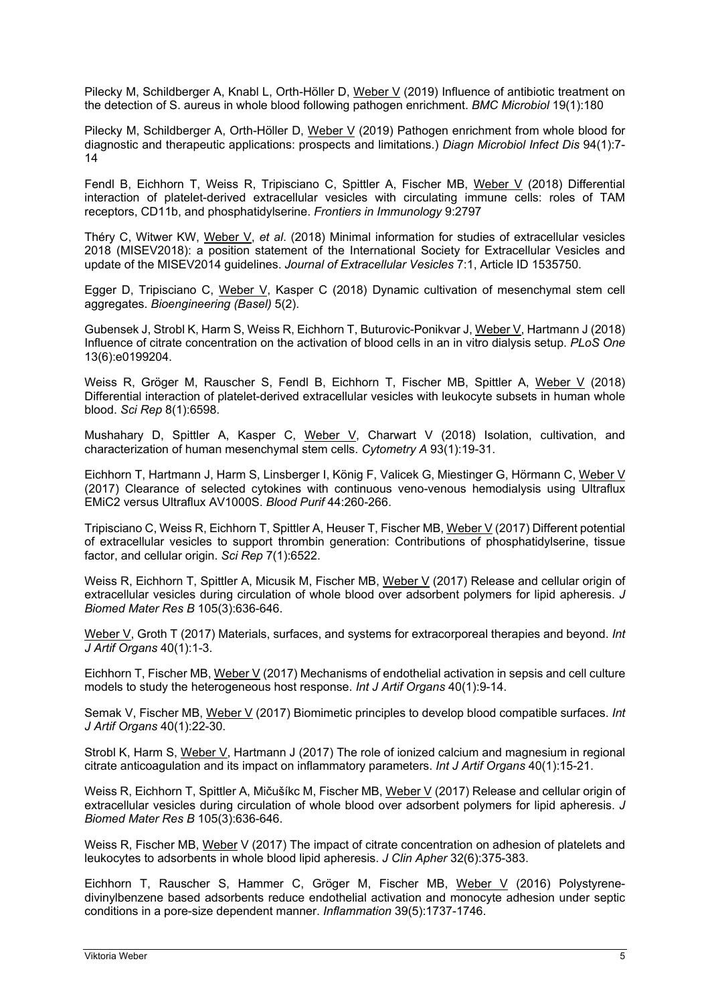Pilecky M, Schildberger A, Knabl L, Orth-Höller D, Weber V (2019) Influence of antibiotic treatment on the detection of S. aureus in whole blood following pathogen enrichment. *BMC Microbiol* 19(1):180

Pilecky M, Schildberger A, Orth-Höller D, Weber V (2019) Pathogen enrichment from whole blood for diagnostic and therapeutic applications: prospects and limitations.) *Diagn Microbiol Infect Dis* 94(1):7- 14

Fendl B, Eichhorn T, Weiss R, Tripisciano C, Spittler A, Fischer MB, Weber V (2018) Differential interaction of platelet-derived extracellular vesicles with circulating immune cells: roles of TAM receptors, CD11b, and phosphatidylserine. *Frontiers in Immunology* 9:2797

Théry C, Witwer KW, Weber V, *et al*. (2018) Minimal information for studies of extracellular vesicles 2018 (MISEV2018): a position statement of the International Society for Extracellular Vesicles and update of the MISEV2014 guidelines. *Journal of Extracellular Vesicles* 7:1, Article ID 1535750.

Egger D, Tripisciano C, Weber V, Kasper C (2018) Dynamic cultivation of mesenchymal stem cell aggregates. *Bioengineering (Basel)* 5(2).

Gubensek J, Strobl K, Harm S, Weiss R, Eichhorn T, Buturovic-Ponikvar J, Weber V, Hartmann J (2018) Influence of citrate concentration on the activation of blood cells in an in vitro dialysis setup. *PLoS One* 13(6):e0199204.

Weiss R, Gröger M, Rauscher S, Fendl B, Eichhorn T, Fischer MB, Spittler A, Weber V (2018) Differential interaction of platelet-derived extracellular vesicles with leukocyte subsets in human whole blood. *Sci Rep* 8(1):6598.

Mushahary D, Spittler A, Kasper C, Weber V, Charwart V (2018) Isolation, cultivation, and characterization of human mesenchymal stem cells. *Cytometry A* 93(1):19-31.

Eichhorn T, Hartmann J, Harm S, Linsberger I, König F, Valicek G, Miestinger G, Hörmann C, Weber V (2017) Clearance of selected cytokines with continuous veno-venous hemodialysis using Ultraflux EMiC2 versus Ultraflux AV1000S. *Blood Purif* 44:260-266.

Tripisciano C, Weiss R, Eichhorn T, Spittler A, Heuser T, Fischer MB, Weber V (2017) Different potential of extracellular vesicles to support thrombin generation: Contributions of phosphatidylserine, tissue factor, and cellular origin. *Sci Rep* 7(1):6522.

Weiss R, Eichhorn T, Spittler A, Micusik M, Fischer MB, Weber V (2017) Release and cellular origin of extracellular vesicles during circulation of whole blood over adsorbent polymers for lipid apheresis. *J Biomed Mater Res B* 105(3):636-646.

Weber V, Groth T (2017) Materials, surfaces, and systems for extracorporeal therapies and beyond. *Int J Artif Organs* 40(1):1-3.

Eichhorn T, Fischer MB, Weber V (2017) Mechanisms of endothelial activation in sepsis and cell culture models to study the heterogeneous host response. *Int J Artif Organs* 40(1):9-14.

Semak V, Fischer MB, Weber V (2017) Biomimetic principles to develop blood compatible surfaces. *Int J Artif Organs* 40(1):22-30.

Strobl K, Harm S, Weber V, Hartmann J (2017) The role of ionized calcium and magnesium in regional citrate anticoagulation and its impact on inflammatory parameters. *Int J Artif Organs* 40(1):15-21.

Weiss R, Eichhorn T, Spittler A, Mičušíkc M, Fischer MB, Weber V (2017) Release and cellular origin of extracellular vesicles during circulation of whole blood over adsorbent polymers for lipid apheresis. *J Biomed Mater Res B* 105(3):636-646.

Weiss R, Fischer MB, Weber V (2017) The impact of citrate concentration on adhesion of platelets and leukocytes to adsorbents in whole blood lipid apheresis. *J Clin Apher* 32(6):375-383.

Eichhorn T, Rauscher S, Hammer C, Gröger M, Fischer MB, Weber V (2016) Polystyrenedivinylbenzene based adsorbents reduce endothelial activation and monocyte adhesion under septic conditions in a pore-size dependent manner. *Inflammation* 39(5):1737-1746.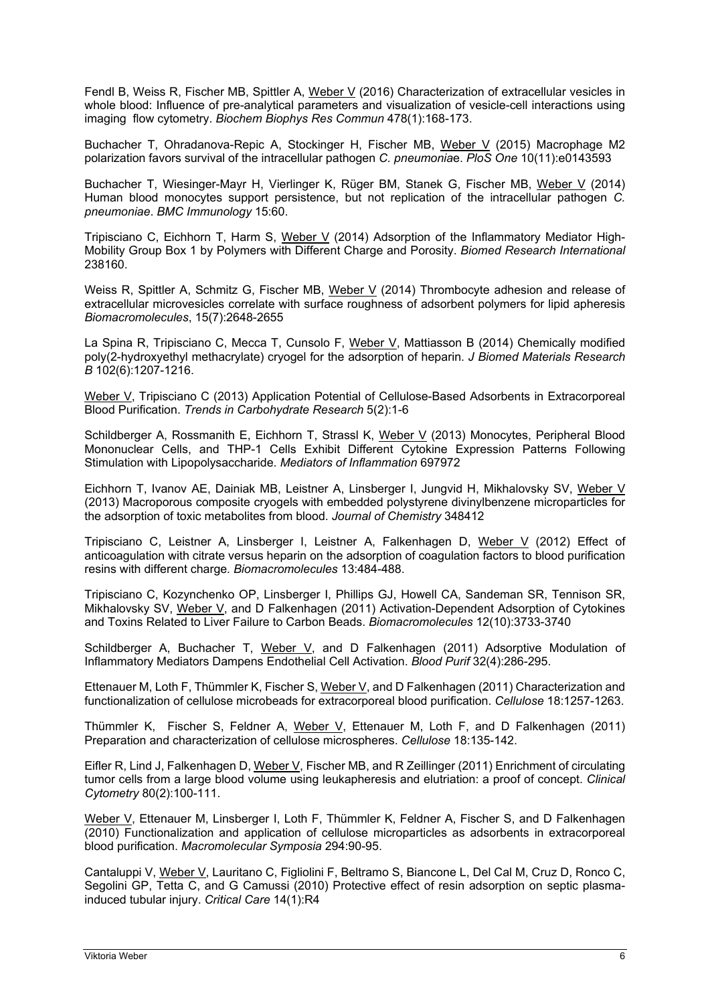Fendl B, Weiss R, Fischer MB, Spittler A, Weber V (2016) Characterization of extracellular vesicles in whole blood: Influence of pre-analytical parameters and visualization of vesicle-cell interactions using imaging flow cytometry. *Biochem Biophys Res Commun* 478(1):168-173.

Buchacher T, Ohradanova-Repic A, Stockinger H, Fischer MB, Weber V (2015) Macrophage M2 polarization favors survival of the intracellular pathogen *C. pneumonia*e. *PloS One* 10(11):e0143593

Buchacher T, Wiesinger-Mayr H, Vierlinger K, Rüger BM, Stanek G, Fischer MB, Weber V (2014) Human blood monocytes support persistence, but not replication of the intracellular pathogen *C. pneumoniae*. *BMC Immunology* 15:60.

Tripisciano C, Eichhorn T, Harm S, Weber V (2014) Adsorption of the Inflammatory Mediator High-Mobility Group Box 1 by Polymers with Different Charge and Porosity. *Biomed Research International* 238160.

Weiss R, Spittler A, Schmitz G, Fischer MB, Weber V (2014) Thrombocyte adhesion and release of extracellular microvesicles correlate with surface roughness of adsorbent polymers for lipid apheresis *Biomacromolecules*, 15(7):2648-2655

La Spina R, Tripisciano C, Mecca T, Cunsolo F, Weber V, Mattiasson B (2014) Chemically modified poly(2-hydroxyethyl methacrylate) cryogel for the adsorption of heparin. *J Biomed Materials Research B* 102(6):1207-1216.

Weber V, Tripisciano C (2013) Application Potential of Cellulose-Based Adsorbents in Extracorporeal Blood Purification. *Trends in Carbohydrate Research* 5(2):1-6

Schildberger A, Rossmanith E, Eichhorn T, Strassl K, Weber V (2013) Monocytes, Peripheral Blood Mononuclear Cells, and THP-1 Cells Exhibit Different Cytokine Expression Patterns Following Stimulation with Lipopolysaccharide. *Mediators of Inflammation* 697972

Eichhorn T, Ivanov AE, Dainiak MB, Leistner A, Linsberger I, Jungvid H, Mikhalovsky SV, Weber V (2013) Macroporous composite cryogels with embedded polystyrene divinylbenzene microparticles for the adsorption of toxic metabolites from blood. *Journal of Chemistry* 348412

Tripisciano C, Leistner A, Linsberger I, Leistner A, Falkenhagen D, Weber V (2012) Effect of anticoagulation with citrate versus heparin on the adsorption of coagulation factors to blood purification resins with different charge*. Biomacromolecules* 13:484-488.

Tripisciano C, Kozynchenko OP, Linsberger I, Phillips GJ, Howell CA, Sandeman SR, Tennison SR, Mikhalovsky SV, Weber V, and D Falkenhagen (2011) Activation-Dependent Adsorption of Cytokines and Toxins Related to Liver Failure to Carbon Beads. *Biomacromolecules* 12(10):3733-3740

Schildberger A, Buchacher T, Weber V, and D Falkenhagen (2011) Adsorptive Modulation of Inflammatory Mediators Dampens Endothelial Cell Activation. *Blood Purif* 32(4):286-295.

Ettenauer M, Loth F, Thümmler K, Fischer S, Weber V, and D Falkenhagen (2011) Characterization and functionalization of cellulose microbeads for extracorporeal blood purification. *Cellulose* 18:1257-1263.

Thümmler K, Fischer S, Feldner A, Weber V, Ettenauer M, Loth F, and D Falkenhagen (2011) Preparation and characterization of cellulose microspheres. *Cellulose* 18:135-142.

Eifler R, Lind J, Falkenhagen D, Weber V, Fischer MB, and R Zeillinger (2011) Enrichment of circulating tumor cells from a large blood volume using leukapheresis and elutriation: a proof of concept. *Clinical Cytometry* 80(2):100-111.

Weber V, Ettenauer M, Linsberger I, Loth F, Thümmler K, Feldner A, Fischer S, and D Falkenhagen (2010) Functionalization and application of cellulose microparticles as adsorbents in extracorporeal blood purification. *Macromolecular Symposia* 294:90-95.

Cantaluppi V, Weber V, Lauritano C, Figliolini F, Beltramo S, Biancone L, Del Cal M, Cruz D, Ronco C, Segolini GP, Tetta C, and G Camussi (2010) Protective effect of resin adsorption on septic plasmainduced tubular injury. *Critical Care* 14(1):R4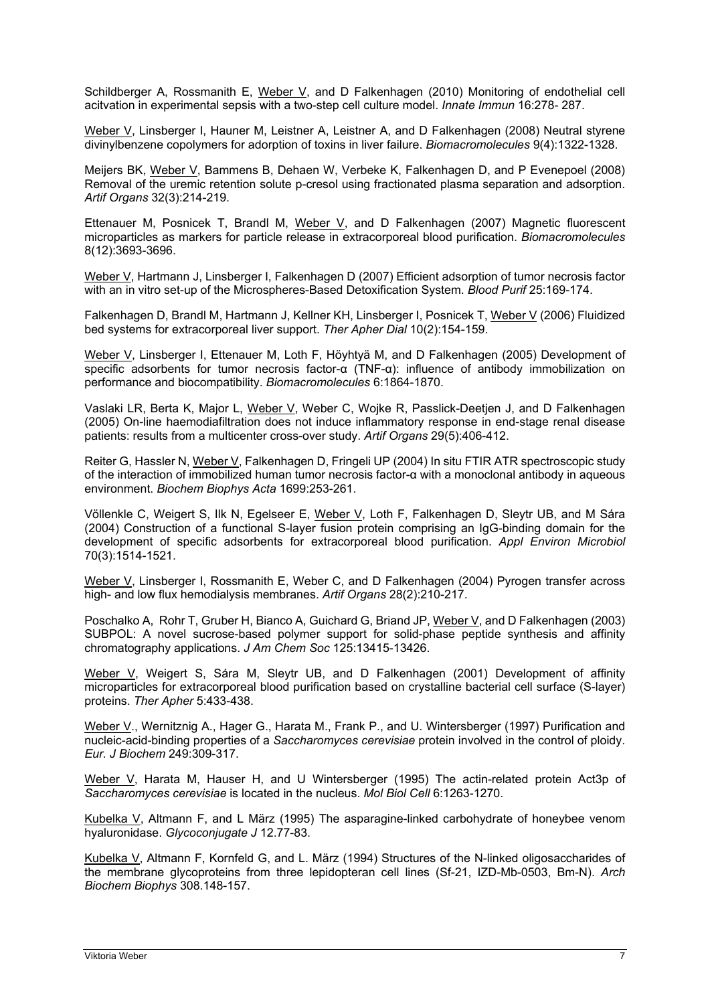Schildberger A, Rossmanith E, Weber V, and D Falkenhagen (2010) Monitoring of endothelial cell acitvation in experimental sepsis with a two-step cell culture model. *Innate Immun* 16:278- 287.

Weber V, Linsberger I, Hauner M, Leistner A, Leistner A, and D Falkenhagen (2008) Neutral styrene divinylbenzene copolymers for adorption of toxins in liver failure. *Biomacromolecules* 9(4):1322-1328.

Meijers BK, Weber V, Bammens B, Dehaen W, Verbeke K, Falkenhagen D, and P Evenepoel (2008) Removal of the uremic retention solute p-cresol using fractionated plasma separation and adsorption. *Artif Organs* 32(3):214-219.

Ettenauer M, Posnicek T, Brandl M, Weber V, and D Falkenhagen (2007) Magnetic fluorescent microparticles as markers for particle release in extracorporeal blood purification. *Biomacromolecules* 8(12):3693-3696.

Weber V, Hartmann J, Linsberger I, Falkenhagen D (2007) Efficient adsorption of tumor necrosis factor with an in vitro set-up of the Microspheres-Based Detoxification System. *Blood Purif* 25:169-174.

Falkenhagen D, Brandl M, Hartmann J, Kellner KH, Linsberger I, Posnicek T, Weber V (2006) Fluidized bed systems for extracorporeal liver support. *Ther Apher Dial* 10(2):154-159.

Weber V, Linsberger I, Ettenauer M, Loth F, Höyhtyä M, and D Falkenhagen (2005) Development of specific adsorbents for tumor necrosis factor-α (TNF-α): influence of antibody immobilization on performance and biocompatibility. *Biomacromolecules* 6:1864-1870.

Vaslaki LR, Berta K, Major L, Weber V, Weber C, Wojke R, Passlick-Deetjen J, and D Falkenhagen (2005) On-line haemodiafiltration does not induce inflammatory response in end-stage renal disease patients: results from a multicenter cross-over study. *Artif Organs* 29(5):406-412.

Reiter G, Hassler N, Weber V, Falkenhagen D, Fringeli UP (2004) In situ FTIR ATR spectroscopic study of the interaction of immobilized human tumor necrosis factor-α with a monoclonal antibody in aqueous environment. *Biochem Biophys Acta* 1699:253-261.

Völlenkle C, Weigert S, Ilk N, Egelseer E, Weber V, Loth F, Falkenhagen D, Sleytr UB, and M Sára (2004) Construction of a functional S-layer fusion protein comprising an IgG-binding domain for the development of specific adsorbents for extracorporeal blood purification. *Appl Environ Microbiol* 70(3):1514-1521.

Weber V, Linsberger I, Rossmanith E, Weber C, and D Falkenhagen (2004) Pyrogen transfer across high- and low flux hemodialysis membranes. *Artif Organs* 28(2):210-217.

Poschalko A, Rohr T, Gruber H, Bianco A, Guichard G, Briand JP, Weber V, and D Falkenhagen (2003) SUBPOL: A novel sucrose-based polymer support for solid-phase peptide synthesis and affinity chromatography applications. *J Am Chem Soc* 125:13415-13426.

Weber V, Weigert S, Sára M, Sleytr UB, and D Falkenhagen (2001) Development of affinity microparticles for extracorporeal blood purification based on crystalline bacterial cell surface (S-layer) proteins. *Ther Apher* 5:433-438.

Weber V., Wernitznig A., Hager G., Harata M., Frank P., and U. Wintersberger (1997) Purification and nucleic-acid-binding properties of a *Saccharomyces cerevisiae* protein involved in the control of ploidy. *Eur. J Biochem* 249:309-317.

Weber V, Harata M, Hauser H, and U Wintersberger (1995) The actin-related protein Act3p of *Saccharomyces cerevisiae* is located in the nucleus. *Mol Biol Cell* 6:1263-1270.

Kubelka V, Altmann F, and L März (1995) The asparagine-linked carbohydrate of honeybee venom hyaluronidase. *Glycoconjugate J* 12.77-83.

Kubelka V, Altmann F, Kornfeld G, and L. März (1994) Structures of the N-linked oligosaccharides of the membrane glycoproteins from three lepidopteran cell lines (Sf-21, IZD-Mb-0503, Bm-N). *Arch Biochem Biophys* 308.148-157.